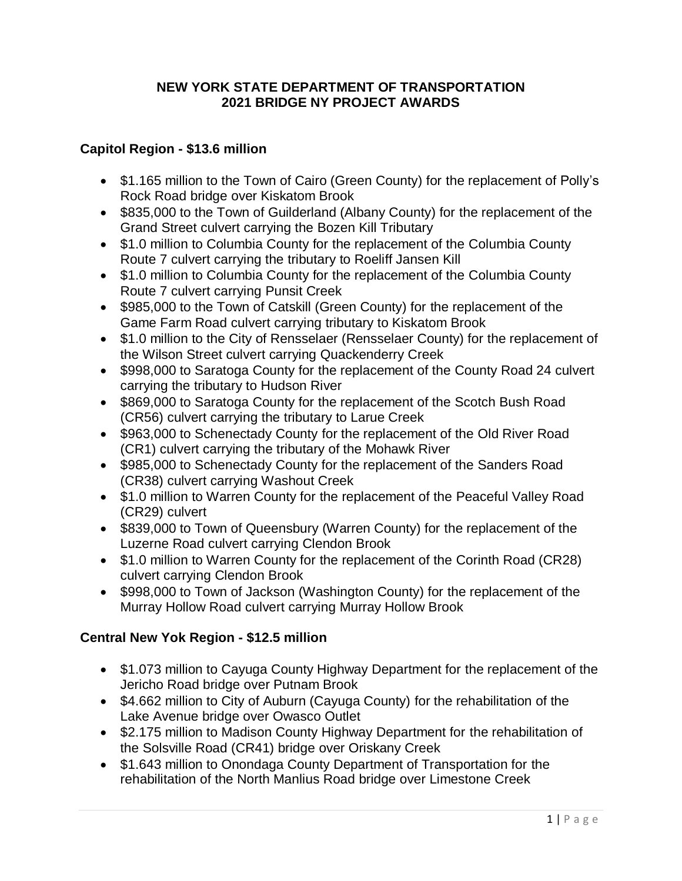#### **NEW YORK STATE DEPARTMENT OF TRANSPORTATION 2021 BRIDGE NY PROJECT AWARDS**

#### **Capitol Region - \$13.6 million**

- \$1.165 million to the Town of Cairo (Green County) for the replacement of Polly's Rock Road bridge over Kiskatom Brook
- \$835,000 to the Town of Guilderland (Albany County) for the replacement of the Grand Street culvert carrying the Bozen Kill Tributary
- \$1.0 million to Columbia County for the replacement of the Columbia County Route 7 culvert carrying the tributary to Roeliff Jansen Kill
- \$1.0 million to Columbia County for the replacement of the Columbia County Route 7 culvert carrying Punsit Creek
- \$985,000 to the Town of Catskill (Green County) for the replacement of the Game Farm Road culvert carrying tributary to Kiskatom Brook
- \$1.0 million to the City of Rensselaer (Rensselaer County) for the replacement of the Wilson Street culvert carrying Quackenderry Creek
- \$998,000 to Saratoga County for the replacement of the County Road 24 culvert carrying the tributary to Hudson River
- \$869,000 to Saratoga County for the replacement of the Scotch Bush Road (CR56) culvert carrying the tributary to Larue Creek
- \$963,000 to Schenectady County for the replacement of the Old River Road (CR1) culvert carrying the tributary of the Mohawk River
- \$985,000 to Schenectady County for the replacement of the Sanders Road (CR38) culvert carrying Washout Creek
- \$1.0 million to Warren County for the replacement of the Peaceful Valley Road (CR29) culvert
- \$839,000 to Town of Queensbury (Warren County) for the replacement of the Luzerne Road culvert carrying Clendon Brook
- \$1.0 million to Warren County for the replacement of the Corinth Road (CR28) culvert carrying Clendon Brook
- \$998,000 to Town of Jackson (Washington County) for the replacement of the Murray Hollow Road culvert carrying Murray Hollow Brook

# **Central New Yok Region - \$12.5 million**

- \$1.073 million to Cayuga County Highway Department for the replacement of the Jericho Road bridge over Putnam Brook
- \$4.662 million to City of Auburn (Cayuga County) for the rehabilitation of the Lake Avenue bridge over Owasco Outlet
- \$2.175 million to Madison County Highway Department for the rehabilitation of the Solsville Road (CR41) bridge over Oriskany Creek
- \$1.643 million to Onondaga County Department of Transportation for the rehabilitation of the North Manlius Road bridge over Limestone Creek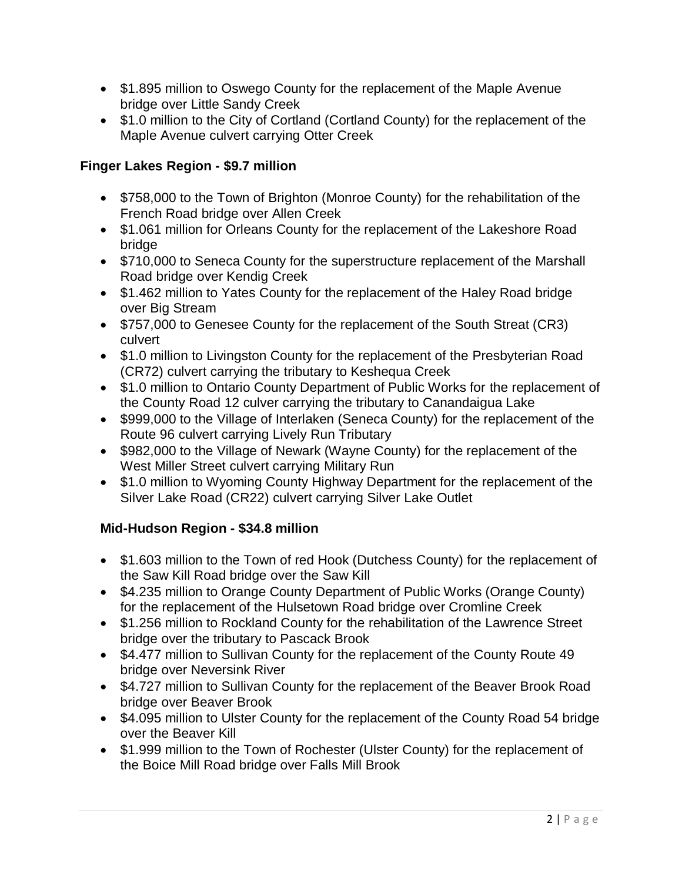- \$1.895 million to Oswego County for the replacement of the Maple Avenue bridge over Little Sandy Creek
- \$1.0 million to the City of Cortland (Cortland County) for the replacement of the Maple Avenue culvert carrying Otter Creek

### **Finger Lakes Region - \$9.7 million**

- \$758,000 to the Town of Brighton (Monroe County) for the rehabilitation of the French Road bridge over Allen Creek
- \$1.061 million for Orleans County for the replacement of the Lakeshore Road bridge
- \$710,000 to Seneca County for the superstructure replacement of the Marshall Road bridge over Kendig Creek
- \$1.462 million to Yates County for the replacement of the Haley Road bridge over Big Stream
- \$757,000 to Genesee County for the replacement of the South Streat (CR3) culvert
- \$1.0 million to Livingston County for the replacement of the Presbyterian Road (CR72) culvert carrying the tributary to Keshequa Creek
- \$1.0 million to Ontario County Department of Public Works for the replacement of the County Road 12 culver carrying the tributary to Canandaigua Lake
- \$999,000 to the Village of Interlaken (Seneca County) for the replacement of the Route 96 culvert carrying Lively Run Tributary
- \$982,000 to the Village of Newark (Wayne County) for the replacement of the West Miller Street culvert carrying Military Run
- \$1.0 million to Wyoming County Highway Department for the replacement of the Silver Lake Road (CR22) culvert carrying Silver Lake Outlet

# **Mid-Hudson Region - \$34.8 million**

- \$1.603 million to the Town of red Hook (Dutchess County) for the replacement of the Saw Kill Road bridge over the Saw Kill
- \$4.235 million to Orange County Department of Public Works (Orange County) for the replacement of the Hulsetown Road bridge over Cromline Creek
- \$1.256 million to Rockland County for the rehabilitation of the Lawrence Street bridge over the tributary to Pascack Brook
- \$4.477 million to Sullivan County for the replacement of the County Route 49 bridge over Neversink River
- \$4.727 million to Sullivan County for the replacement of the Beaver Brook Road bridge over Beaver Brook
- \$4.095 million to Ulster County for the replacement of the County Road 54 bridge over the Beaver Kill
- \$1.999 million to the Town of Rochester (Ulster County) for the replacement of the Boice Mill Road bridge over Falls Mill Brook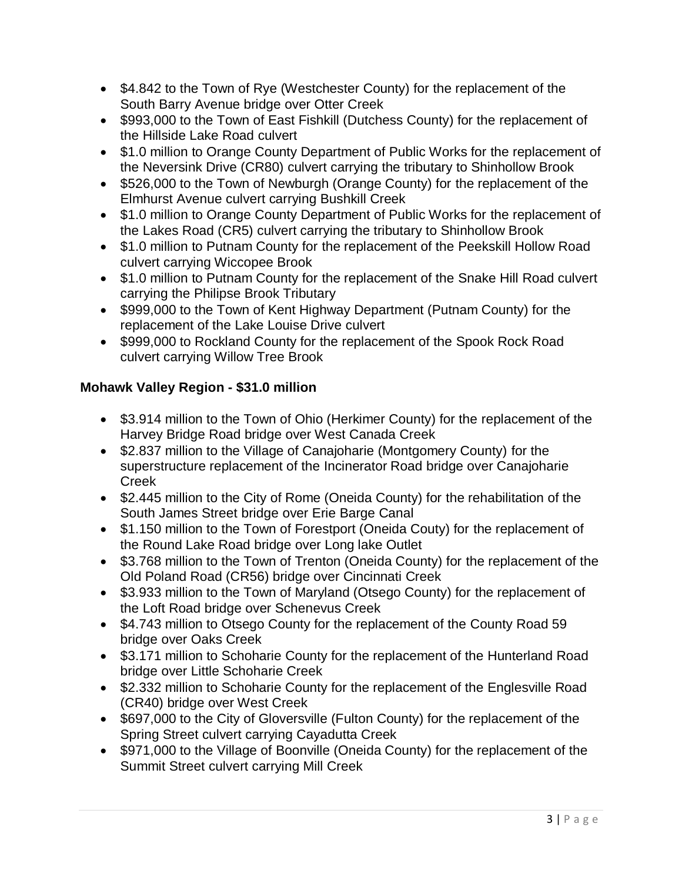- \$4.842 to the Town of Rye (Westchester County) for the replacement of the South Barry Avenue bridge over Otter Creek
- \$993,000 to the Town of East Fishkill (Dutchess County) for the replacement of the Hillside Lake Road culvert
- \$1.0 million to Orange County Department of Public Works for the replacement of the Neversink Drive (CR80) culvert carrying the tributary to Shinhollow Brook
- \$526,000 to the Town of Newburgh (Orange County) for the replacement of the Elmhurst Avenue culvert carrying Bushkill Creek
- \$1.0 million to Orange County Department of Public Works for the replacement of the Lakes Road (CR5) culvert carrying the tributary to Shinhollow Brook
- \$1.0 million to Putnam County for the replacement of the Peekskill Hollow Road culvert carrying Wiccopee Brook
- \$1.0 million to Putnam County for the replacement of the Snake Hill Road culvert carrying the Philipse Brook Tributary
- \$999,000 to the Town of Kent Highway Department (Putnam County) for the replacement of the Lake Louise Drive culvert
- \$999,000 to Rockland County for the replacement of the Spook Rock Road culvert carrying Willow Tree Brook

# **Mohawk Valley Region - \$31.0 million**

- \$3.914 million to the Town of Ohio (Herkimer County) for the replacement of the Harvey Bridge Road bridge over West Canada Creek
- \$2.837 million to the Village of Canajoharie (Montgomery County) for the superstructure replacement of the Incinerator Road bridge over Canajoharie Creek
- \$2.445 million to the City of Rome (Oneida County) for the rehabilitation of the South James Street bridge over Erie Barge Canal
- \$1.150 million to the Town of Forestport (Oneida Couty) for the replacement of the Round Lake Road bridge over Long lake Outlet
- \$3.768 million to the Town of Trenton (Oneida County) for the replacement of the Old Poland Road (CR56) bridge over Cincinnati Creek
- \$3.933 million to the Town of Maryland (Otsego County) for the replacement of the Loft Road bridge over Schenevus Creek
- \$4.743 million to Otsego County for the replacement of the County Road 59 bridge over Oaks Creek
- \$3.171 million to Schoharie County for the replacement of the Hunterland Road bridge over Little Schoharie Creek
- \$2.332 million to Schoharie County for the replacement of the Englesville Road (CR40) bridge over West Creek
- \$697,000 to the City of Gloversville (Fulton County) for the replacement of the Spring Street culvert carrying Cayadutta Creek
- \$971,000 to the Village of Boonville (Oneida County) for the replacement of the Summit Street culvert carrying Mill Creek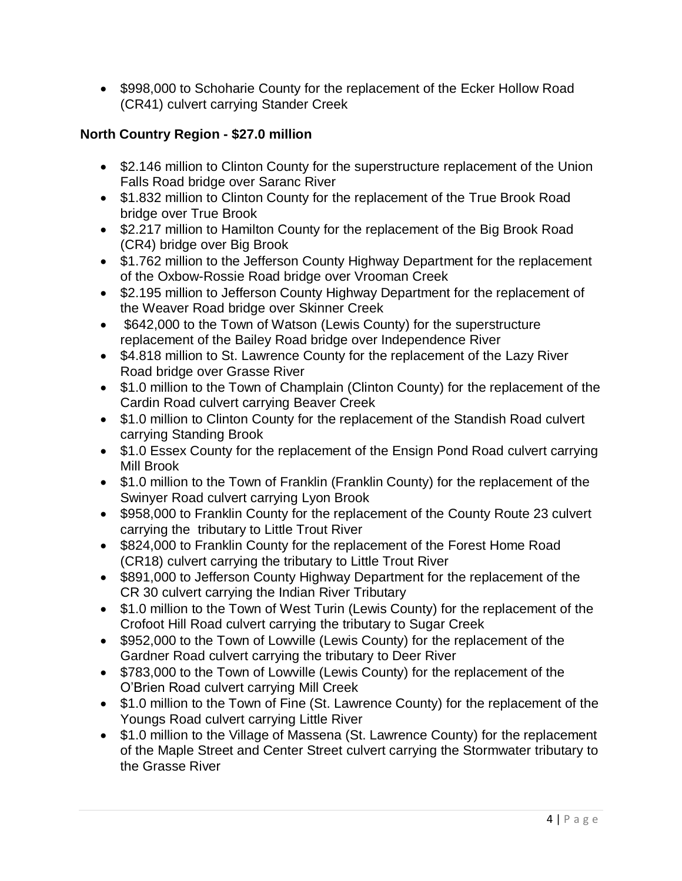• \$998,000 to Schoharie County for the replacement of the Ecker Hollow Road (CR41) culvert carrying Stander Creek

# **North Country Region - \$27.0 million**

- \$2.146 million to Clinton County for the superstructure replacement of the Union Falls Road bridge over Saranc River
- \$1.832 million to Clinton County for the replacement of the True Brook Road bridge over True Brook
- \$2.217 million to Hamilton County for the replacement of the Big Brook Road (CR4) bridge over Big Brook
- \$1.762 million to the Jefferson County Highway Department for the replacement of the Oxbow-Rossie Road bridge over Vrooman Creek
- \$2.195 million to Jefferson County Highway Department for the replacement of the Weaver Road bridge over Skinner Creek
- \$642,000 to the Town of Watson (Lewis County) for the superstructure replacement of the Bailey Road bridge over Independence River
- \$4.818 million to St. Lawrence County for the replacement of the Lazy River Road bridge over Grasse River
- \$1.0 million to the Town of Champlain (Clinton County) for the replacement of the Cardin Road culvert carrying Beaver Creek
- \$1.0 million to Clinton County for the replacement of the Standish Road culvert carrying Standing Brook
- \$1.0 Essex County for the replacement of the Ensign Pond Road culvert carrying Mill Brook
- \$1.0 million to the Town of Franklin (Franklin County) for the replacement of the Swinyer Road culvert carrying Lyon Brook
- \$958,000 to Franklin County for the replacement of the County Route 23 culvert carrying the tributary to Little Trout River
- \$824,000 to Franklin County for the replacement of the Forest Home Road (CR18) culvert carrying the tributary to Little Trout River
- \$891,000 to Jefferson County Highway Department for the replacement of the CR 30 culvert carrying the Indian River Tributary
- \$1.0 million to the Town of West Turin (Lewis County) for the replacement of the Crofoot Hill Road culvert carrying the tributary to Sugar Creek
- \$952,000 to the Town of Lowville (Lewis County) for the replacement of the Gardner Road culvert carrying the tributary to Deer River
- \$783,000 to the Town of Lowville (Lewis County) for the replacement of the O'Brien Road culvert carrying Mill Creek
- \$1.0 million to the Town of Fine (St. Lawrence County) for the replacement of the Youngs Road culvert carrying Little River
- \$1.0 million to the Village of Massena (St. Lawrence County) for the replacement of the Maple Street and Center Street culvert carrying the Stormwater tributary to the Grasse River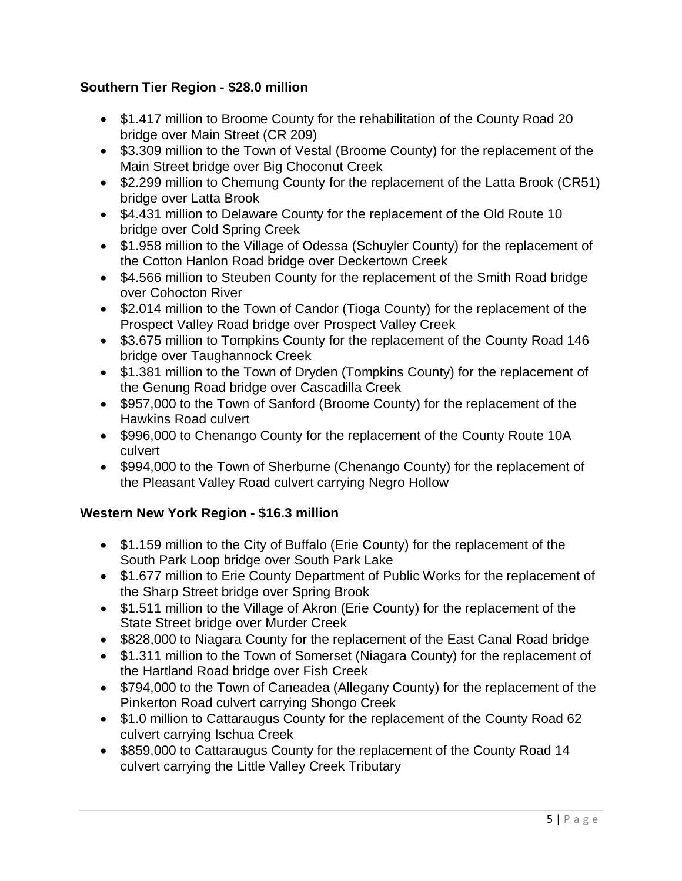### **Southern Tier Region - \$28.0 million**

- \$1.417 million to Broome County for the rehabilitation of the County Road 20 bridge over Main Street (CR 209)
- \$3.309 million to the Town of Vestal (Broome County) for the replacement of the Main Street bridge over Big Choconut Creek
- \$2.299 million to Chemung County for the replacement of the Latta Brook (CR51) bridge over Latta Brook
- \$4.431 million to Delaware County for the replacement of the Old Route 10 bridge over Cold Spring Creek
- \$1.958 million to the Village of Odessa (Schuyler County) for the replacement of the Cotton Hanlon Road bridge over Deckertown Creek
- \$4.566 million to Steuben County for the replacement of the Smith Road bridge over Cohocton River
- \$2.014 million to the Town of Candor (Tioga County) for the replacement of the Prospect Valley Road bridge over Prospect Valley Creek
- \$3.675 million to Tompkins County for the replacement of the County Road 146 bridge over Taughannock Creek
- \$1.381 million to the Town of Dryden (Tompkins County) for the replacement of the Genung Road bridge over Cascadilla Creek
- \$957,000 to the Town of Sanford (Broome County) for the replacement of the Hawkins Road culvert
- \$996,000 to Chenango County for the replacement of the County Route 10A culvert
- \$994,000 to the Town of Sherburne (Chenango County) for the replacement of the Pleasant Valley Road culvert carrying Negro Hollow

# **Western New York Region - \$16.3 million**

- \$1.159 million to the City of Buffalo (Erie County) for the replacement of the South Park Loop bridge over South Park Lake
- \$1.677 million to Erie County Department of Public Works for the replacement of the Sharp Street bridge over Spring Brook
- \$1.511 million to the Village of Akron (Erie County) for the replacement of the State Street bridge over Murder Creek
- \$828,000 to Niagara County for the replacement of the East Canal Road bridge
- \$1.311 million to the Town of Somerset (Niagara County) for the replacement of the Hartland Road bridge over Fish Creek
- \$794,000 to the Town of Caneadea (Allegany County) for the replacement of the Pinkerton Road culvert carrying Shongo Creek
- \$1.0 million to Cattaraugus County for the replacement of the County Road 62 culvert carrying Ischua Creek
- \$859,000 to Cattaraugus County for the replacement of the County Road 14 culvert carrying the Little Valley Creek Tributary